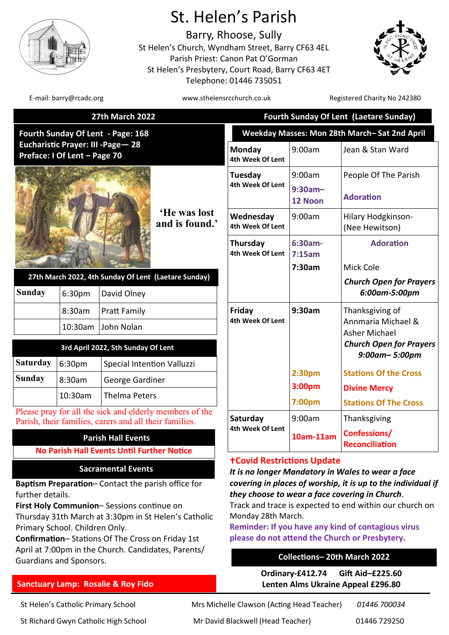

# St. Helen's Parish

Barry, Rhoose, Sully St Helen's Church, Wyndham Street, Barry CF63 4EL Parish Priest: Canon Pat O'Gorman St Helen's Presbytery, Court Road, Barry CF63 4ET Telephone: 01446 735051



E-mail: barry@rcadc.org entitled to the www.sthelensrcchurch.co.uk Registered Charity No 242380

|                                                                     |                                | <b>27th March 2022</b>                                                                                            | <b>Fourth Sunday Of Lent (Laetare Sunday)</b>                                                                                                                                                |                       |                                                 |
|---------------------------------------------------------------------|--------------------------------|-------------------------------------------------------------------------------------------------------------------|----------------------------------------------------------------------------------------------------------------------------------------------------------------------------------------------|-----------------------|-------------------------------------------------|
|                                                                     |                                | Fourth Sunday Of Lent - Page: 168                                                                                 | Weekday Masses: Mon 28th March-Sat 2nd April                                                                                                                                                 |                       |                                                 |
| Eucharistic Prayer: III - Page - 28<br>Preface: I Of Lent - Page 70 |                                |                                                                                                                   | Monday<br>4th Week Of Lent                                                                                                                                                                   | 9:00am                | Jean & Stan Ward                                |
|                                                                     |                                |                                                                                                                   | Tuesday                                                                                                                                                                                      | 9:00am                | People Of The Parish                            |
|                                                                     |                                |                                                                                                                   | 4th Week Of Lent                                                                                                                                                                             | $9:30am -$<br>12 Noon | <b>Adoration</b>                                |
|                                                                     |                                | He was lost<br>and is found.'                                                                                     | Wednesday<br>4th Week Of Lent                                                                                                                                                                | 9:00am                | Hilary Hodgkinson-<br>(Nee Hewitson)            |
|                                                                     |                                |                                                                                                                   | Thursday<br>4th Week Of Lent                                                                                                                                                                 | $6:30am -$<br>7:15am  | <b>Adoration</b>                                |
|                                                                     |                                |                                                                                                                   |                                                                                                                                                                                              | 7:30am                | Mick Cole                                       |
| <b>Sunday</b>                                                       | 6:30pm                         | 27th March 2022, 4th Sunday Of Lent (Laetare Sunday)<br>David Olney                                               |                                                                                                                                                                                              |                       | <b>Church Open for Prayers</b><br>6:00am-5:00pm |
|                                                                     | 8:30am                         | <b>Pratt Family</b>                                                                                               | Friday                                                                                                                                                                                       | 9:30am                | Thanksgiving of                                 |
|                                                                     | 10:30am                        | John Nolan                                                                                                        | 4th Week Of Lent                                                                                                                                                                             |                       | Annmaria Michael &<br>Asher Michael             |
|                                                                     |                                | 3rd April 2022, 5th Sunday Of Lent                                                                                |                                                                                                                                                                                              |                       | <b>Church Open for Prayers</b>                  |
|                                                                     |                                |                                                                                                                   |                                                                                                                                                                                              |                       | $9:00$ am- $5:00$ pm                            |
| <b>Saturday</b>                                                     | 6:30pm                         | Special Intention Valluzzi                                                                                        |                                                                                                                                                                                              | 2:30pm                | <b>Stations Of the Cross</b>                    |
| <b>Sunday</b>                                                       | 8:30am                         | George Gardiner                                                                                                   |                                                                                                                                                                                              | 3:00 <sub>pm</sub>    | <b>Divine Mercy</b>                             |
|                                                                     | 10:30am                        | <b>Thelma Peters</b>                                                                                              |                                                                                                                                                                                              | 7:00pm                | <b>Stations Of The Cross</b>                    |
|                                                                     |                                | Please pray for all the sick and elderly members of the<br>Parish, their families, carers and all their families. | Saturday                                                                                                                                                                                     | 9:00am                | Thanksgiving                                    |
| <b>Parish Hall Events</b>                                           |                                |                                                                                                                   | 4th Week Of Lent                                                                                                                                                                             | 10am-11am             | Confessions/<br><b>Reconciliation</b>           |
|                                                                     |                                | <b>No Parish Hall Events Until Further Notice</b>                                                                 | <b>+Covid Restrictions Update</b>                                                                                                                                                            |                       |                                                 |
|                                                                     |                                | <b>Sacramental Events</b>                                                                                         | It is no longer Mandatory in Wales to wear a face                                                                                                                                            |                       |                                                 |
|                                                                     |                                | Baptism Preparation-Contact the parish office for                                                                 | covering in places of worship, it is up to the individual if                                                                                                                                 |                       |                                                 |
| further details.                                                    |                                |                                                                                                                   | they choose to wear a face covering in Church.                                                                                                                                               |                       |                                                 |
|                                                                     |                                | First Holy Communion-Sessions continue on                                                                         | Track and trace is expected to end within our church on<br>Monday 28th March.<br><b>Reminder: If you have any kind of contagious virus</b><br>please do not attend the Church or Presbytery. |                       |                                                 |
|                                                                     | Primary School. Children Only. | Thursday 31th March at 3:30pm in St Helen's Catholic                                                              |                                                                                                                                                                                              |                       |                                                 |
|                                                                     |                                | Confirmation-Stations Of The Cross on Friday 1st                                                                  |                                                                                                                                                                                              |                       |                                                 |
|                                                                     |                                | April at 7:00pm in the Church. Candidates, Parents/                                                               |                                                                                                                                                                                              |                       |                                                 |

# **Collections– 20th March 2022**

**Ordinary-£412.74 Gift Aid–£225.60 Lenten Alms Ukraine Appeal £296.80**

**Sanctuary Lamp: Rosalie & Roy Fido** 

Guardians and Sponsors.

St Helen's Catholic Primary School Mrs Michelle Clawson (Acting Head Teacher) *01446 700034* St Richard Gwyn Catholic High School Mr David Blackwell (Head Teacher) 01446 729250